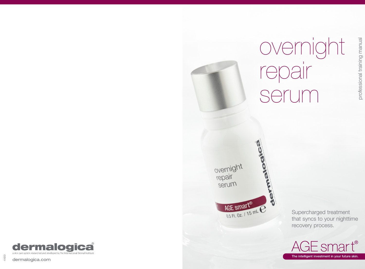

Supercharged treatment that syncs to your nighttime recovery process.

overnight

repair

serum





dermalogica.com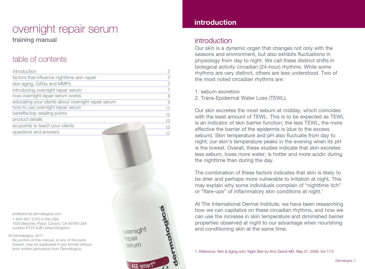# overnight repair serum

training manual

# table of contents

| introduction                                        | 2  |
|-----------------------------------------------------|----|
| factors that influence nighttime skin repair        | 3  |
| skin aging, GAGs and MMPs                           | 5  |
| introducing overnight repair serum                  |    |
| how overnight repair serum works                    | 8  |
| educating your clients about overnight repair serum | 9  |
| how to use overnight repair serum                   |    |
| benefits/top retailing points                       | 12 |
| product details                                     | 13 |
| acupoints to teach your clients                     | 15 |
| questions and answers                               |    |
|                                                     |    |

overnight repair Serum

AGE smart

professional.dermalogica.com

1-800-831-5150 in the USA 1535 Beachey Place, Carson, CA 90746 USA London KT22 8JB United Kingdom

Dermalogica, 2011 ©

No portion of this manual, or any of the parts thereof, may be duplicated in any format without prior written permission from Dermalogica.

# introduction

# introduction

Our skin is a dynamic organ that changes not only with the seasons and environment, but also exhibits fluctuations in physiology from day to night. We call these distinct shifts in biological activity circadian (24-hour) rhythms. While some rhythms are very distinct, others are less understood. Two of the most noted circadian rhythms are:

1. sebum excretion

2. Trans-Epidermal Water Loss (TEWL).

Our skin excretes the most sebum at midday, which coincides with the least amount of TEWL. This is to be expected as TEWL is an indicator of skin barrier function; the less TEWL, the more effective the barrier of the epidermis is (due to the excess sebum). Skin temperature and pH also fluctuate from day to night; our skin's temperature peaks in the evening when its pH is the lowest. Overall, these studies indicate that skin excretes less sebum, loses more water, is hotter and more acidic during the nighttime than during the day.

The combination of these factors indicates that skin is likely to be drier and perhaps more vulnerable to irritation at night. This may explain why some individuals complain of "nighttime itch" or "flare-ups" of inflammatory skin conditions at night.<sup>1</sup>

At The International Dermal Institute, we have been researching how we can capitalize on these circadian rhythms, and how we can use the increase in skin temperature and diminished barrier properties observed at night to our advantage when nourishing and conditioning skin at the same time.

1. Reference: Skin & Aging.com; Night Skin by Amy Derick MD, May 01, 2009, Vol 17:5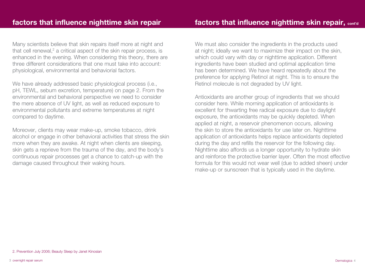Many scientists believe that skin repairs itself more at night and that cell renewal, $2$  a critical aspect of the skin repair process, is enhanced in the evening. When considering this theory, there are three different considerations that one must take into account: physiological, environmental and behaviorial factors.

We have already addressed basic physiological process (i.e., pH, TEWL, sebum excretion, temperature) on page 2. From the environmental and behavioral perspective we need to consider the mere absence of UV light, as well as reduced exposure to environmental pollutants and extreme temperatures at night compared to daytime.

Moreover, clients may wear make-up, smoke tobacco, drink alcohol or engage in other behavioral activities that stress the skin more when they are awake. At night when clients are sleeping, skin gets a reprieve from the trauma of the day, and the body's continuous repair processes get a chance to catch-up with the damage caused throughout their waking hours.

We must also consider the ingredients in the products used at night; ideally we want to maximize their impact on the skin, which could vary with day or nighttime application. Different ingredients have been studied and optimal application time has been determined. We have heard repeatedly about the preference for applying Retinol at night. This is to ensure the Retinol molecule is not degraded by UV light.

Antioxidants are another group of ingredients that we should consider here. While morning application of antioxidants is excellent for thwarting free radical exposure due to daylight exposure, the antioxidants may be quickly depleted. When applied at night, a reservoir phenomenon occurs, allowing the skin to store the antioxidants for use later on. Nighttime application of antioxidants helps replace antioxidants depleted during the day and refills the reservoir for the following day. Nighttime also affords us a longer opportunity to hydrate skin and reinforce the protective barrier layer. Often the most effective formula for this would not wear well (due to added sheen) under make-up or sunscreen that is typically used in the daytime.

<sup>2.</sup> Prevention July 2006; Beauty Sleep by Janet Kinosian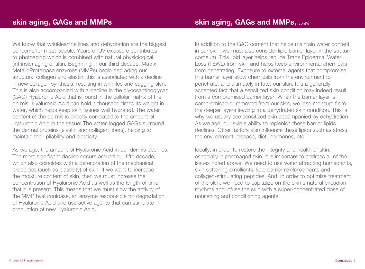We know that wrinkles/fine lines and dehydration are the biggest concerns for most people. Years of UV exposure contributes to photoaging which is combined with natural physiological (intrinsic) aging of skin. Beginning in our third decade, Matrix MetalloProteinase enzymes (MMPs) begin degrading our structural collagen and elastin; this is associated with a decline in new collagen synthesis, resulting in wrinkles and sagging skin. This is also accompanied with a decline in the glycosaminoglycan (GAG) Hyaluronic Acid that is found in the cellular matrix of the dermis. Hyaluronic Acid can hold a thousand times its weight in water, which helps keep skin tissues well hydrated. The water content of the dermis is directly correlated to the amount of Hyaluronic Acid in the tissue: The water-logged GAGs surround the dermal proteins (elastin and collagen fibers), helping to maintain their pliability and elasticity.

As we age, the amount of Hyaluronic Acid in our dermis declines. The most significant decline occurs around our fifth decade. which also coincides with a deterioration of the mechanical properties (such as elasticity) of skin. If we want to increase the moisture content of skin, then we must increase the concentration of Hyaluronic Acid as well as the length of time that it is present. This means that we must slow the activity of the MMP hyaluronidase, an enzyme responsible for degradation of Hyaluronic Acid and use active agents that can stimulate production of new Hyaluronic Acid.

In addition to the GAG content that helps maintain water content in our skin, we must also consider lipid barrier layer in the stratum corneum. This lipid layer helps reduce Trans Epidermal Water Loss (TEWL) from skin and helps keep environmental chemicals from penetrating. Exposure to external agents that compromise this barrier layer allow chemicals from the environment to penetrate, and ultimately irritate, our skin. It is a generally accepted fact that a sensitized skin condition may indeed result from a compromised barrier layer. When the barrier layer is compromised or removed from our skin, we lose moisture from the deeper layers leading to a dehydrated skin condition. This is why we usually see sensitized skin accompanied by dehydration. As we age, our skin's ability to replenish these barrier lipids declines. Other factors also influence these lipids such as stress, the environment, disease, diet, hormones, etc.

Ideally, in order to restore the integrity and health of skin, especially in photoaged skin, it is important to address all of the issues noted above. We need to use water attracting humectants, skin softening emollients, lipid barrier reinforcements and collagen-stimulating peptides. And, in order to optimize treatment of the skin, we need to capitalize on the skin's natural circadian rhythms and infuse the skin with a super-concentrated dose of nourishing and conditioning agents.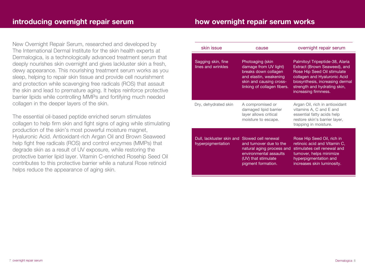New Overnight Repair Serum, researched and developed by The International Dermal Institute for the skin health experts at Dermalogica, is a technologically advanced treatment serum that deeply nourishes skin overnight and gives lackluster skin a fresh, dewy appearance. This nourishing treatment serum works as you sleep, helping to repair skin tissue and provide cell nourishment and protection while scavenging free radicals (ROS) that assault the skin and lead to premature aging. It helps reinforce protective barrier lipids while controlling MMPs and fortifying much needed collagen in the deeper layers of the skin.

The essential oil-based peptide enriched serum stimulates collagen to help firm skin and fight signs of aging while stimulating production of the skin's most powerful moisture magnet, Hyaluronic Acid. Antioxidant-rich Argan Oil and Brown Seaweed help fight free radicals (ROS) and control enzymes (MMPs) that degrade skin as a result of UV exposure, while restoring the protective barrier lipid layer. Vitamin C-enriched Rosehip Seed Oil contributes to this protective barrier while a natural Rose retinoid helps reduce the appearance of aging skin.

| skin issue                                                         | cause                                                                                                                                                 | overnight repair serum                                                                                                                                                                                                    |
|--------------------------------------------------------------------|-------------------------------------------------------------------------------------------------------------------------------------------------------|---------------------------------------------------------------------------------------------------------------------------------------------------------------------------------------------------------------------------|
| Sagging skin, fine<br>lines and wrinkles                           | Photoaging (skin<br>damage from UV light)<br>breaks down collagen<br>and elastin, weakening<br>skin and causing cross-<br>linking of collagen fibers. | Palmitoyl Tripeptide-38, Alaria<br>Extract (Brown Seaweed), and<br>Rose Hip Seed Oil stimulate<br>collagen and Hyaluronic Acid<br>biosynthesis, increasing dermal<br>strength and hydrating skin,<br>increasing firmness. |
| Dry, dehydrated skin                                               | A compromised or<br>damaged lipid barrier<br>layer allows critical<br>moisture to escape.                                                             | Argan Oil, rich in antioxidant<br>vitamins A, C and E and<br>essential fatty acids help<br>restore skin's barrier layer,<br>trapping in moisture.                                                                         |
| Dull, lackluster skin and Slowed cell renewal<br>hyperpigmentation | and turnover due to the<br>natural aging process and<br>environmental assaults<br>(UV) that stimulate<br>pigment formation.                           | Rose Hip Seed Oil, rich in<br>retinoic acid and Vitamin C.<br>stimulates cell renewal and<br>turnover, helps minimize<br>hyperpigmentation and<br>increases skin luminosity.                                              |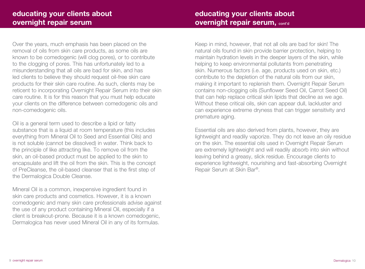Over the years, much emphasis has been placed on the removal of oils from skin care products, as some oils are known to be comedogenic (will clog pores), or to contribute to the clogging of pores. This has unfortunately led to a misunderstanding that all oils are bad for skin, and has led clients to believe they should request oil-free skin care products for their skin care routine. As such, clients may be reticent to incorporating Overnight Repair Serum into their skin care routine. It is for this reason that you must help educate your clients on the difference between comedogenic oils and non-comedogenic oils.

Oil is a general term used to describe a lipid or fatty substance that is a liquid at room temperature (this includes everything from Mineral Oil to Seed and Essential Oils) and is not soluble (cannot be dissolved) in water. Think back to the principle of like attracting like. To remove oil from the skin, an oil-based product must be applied to the skin to encapsulate and lift the oil from the skin. This is the concept of PreCleanse, the oil-based cleanser that is the first step of the Dermalogica Double Cleanse.

Mineral Oil is a common, inexpensive ingredient found in skin care products and cosmetics. However, it is a known comedogenic and many skin care professionals advise against the use of any product containing Mineral Oil, especially if a client is breakout-prone. Because it is a known comedogenic, Dermalogica has never used Mineral Oil in any of its formulas.

Keep in mind, however, that not all oils are bad for skin! The natural oils found in skin provide barrier protection, helping to maintain hydration levels in the deeper layers of the skin, while helping to keep environmental pollutants from penetrating skin. Numerous factors (i.e. age, products used on skin, etc.) contribute to the depletion of the natural oils from our skin, making it important to replenish them. Overnight Repair Serum contains non-clogging oils (Sunflower Seed Oil, Carrot Seed Oil) that can help replace critical skin lipids that decline as we age. Without these critical oils, skin can appear dull, lackluster and can experience extreme dryness that can trigger sensitivity and premature aging.

Essential oils are also derived from plants, however, they are lightweight and readily vaporize. They do not leave an oily residue on the skin. The essential oils used in Overnight Repair Serum are extremely lightweight and will readily absorb into skin without leaving behind a greasy, slick residue. Encourage clients to experience lightweight, nourishing and fast-absorbing Overnight Repair Serum at Skin Bar®.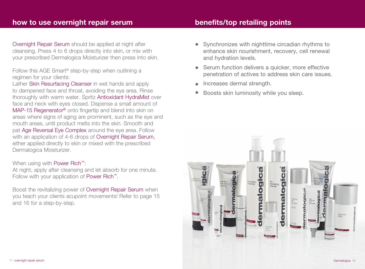# how to use overnight repair serum

Overnight Repair Serum should be applied at night after cleansing. Press 4 to 6 drops directly into skin, or mix with your prescribed Dermalogica Moisturizer then press into skin.

Follow this AGE Smart® step-by-step when outlining a regimen for your clients:

Lather Skin Resurfacing Cleanser in wet hands and apply to dampened face and throat, avoiding the eye area. Rinse thoroughly with warm water. Spritz Antioxidant HydraMist over face and neck with eyes closed. Dispense a small amount of MAP-15 Regenerator® onto fingertip and blend into skin on areas where signs of aging are prominent, such as the eye and mouth areas, until product melts into the skin. Smooth and pat Age Reversal Eye Complex around the eye area. Follow with an application of 4-6 drops of Overnight Repair Serum, either applied directly to skin or mixed with the prescribed Dermalogica Moisturizer.

### When using with Power Rich<sup>™</sup>:

At night, apply after cleansing and let absorb for one minute. Follow with your application of Power Rich™.

Boost the revitalizing power of Overnight Repair Serum when you teach your clients acupoint movements! Refer to page 15 and 16 for a step-by-step.

# benefits/top retailing points

- Synchronizes with nighttime circadian rhythms to enhance skin nourishment, recovery, cell renewal and hydration levels. •
- Serum function delivers a quicker, more effective penetration of actives to address skin care issues.
- Increases dermal strength. •
- Boosts skin luminosity while you sleep. •

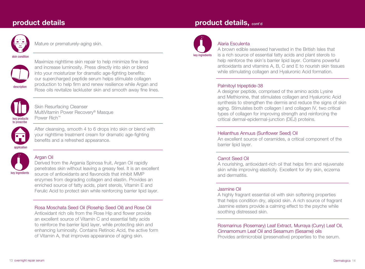

Mature or prematurely-aging skin.

#### skin condition



Maximize nighttime skin repair to help minimize fine lines and increase luminosity. Press directly into skin or blend into your moisturizer for dramatic age-fighting benefits: our supercharged peptide serum helps stimulate collagen production to help firm and renew resilience while Argan and Rose oils revitalize lackluster skin and smooth away fine lines.



Skin Resurfacing Cleanser MultiVitamin Power Recovery® Masque Power Rich™



After cleansing, smooth 4 to 6 drops into skin or blend with your nighttime treatment cream for dramatic age-fighting benefits and a refreshed appearance.



#### Argan Oil

Derived from the Argania Spinosa fruit, Argan Oil rapidly penetrates skin without leaving a greasy feel. It is an excellent source of antioxidants and flavonoids that inhibit MMP enzymes from degrading collagen and elastin. Provides an enriched source of fatty acids, plant sterols, Vitamin E and Ferulic Acid to protect skin while reinforcing barrier lipid layer.

#### Rosa Moschata Seed Oil (Rosehip Seed Oil) and Rose Oil

Antioxidant rich oils from the Rose Hip and flower provide an excellent source of Vitamin C and essential fatty acids to reinforce the barrier lipid layer, while protecting skin and enhancing luminosity. Contains Retinoic Acid, the active form of Vitamin A, that improves appearance of aging skin.

# product details product details, cont'd



#### Alaria Esculenta

A brown edible seaweed harvested in the British Isles that is a rich source of essential fatty acids and plant sterols to help reinforce the skin's barrier lipid layer. Contains powerful antioxidants and vitamins A, B, C and E to nourish skin tissues while stimulating collagen and Hyaluronic Acid formation.

#### Palmitoyl tripeptide-38

A designer peptide, comprised of the amino acids Lysine and Methionine, that stimulates collagen and Hyaluronic Acid synthesis to strengthen the dermis and reduce the signs of skin aging. Stimulates both collagen I and collagen IV, two critical types of collagen for improving strength and reinforcing the critical dermal-epidermal-junction (DEJ) proteins.

#### Helianthus Annuus (Sunflower Seed) Oil

An excellent source of ceramides, a critical component of the barrier lipid layer.

#### Carrot Seed Oil

A nourishing, antioxidant-rich oil that helps firm and rejuvenate skin while improving elasticity. Excellent for dry skin, eczema and dermatitis.

#### Jasmine Oil

A highly fragrant essential oil with skin softening properties that helps condition dry, alipoid skin. A rich source of fragrant Jasmine esters provide a calming effect to the psyche while soothing distressed skin.

#### Rosmarinus (Rosemary) Leaf Extract, Murraya (Curry) Leaf Oil, Cinnamomum Leaf Oil and Sesamum (Sesame) oils

Provides antimicrobial (preservative) properties to the serum.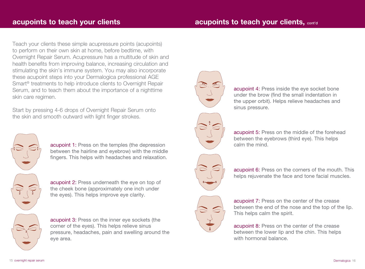Teach your clients these simple acupressure points (acupoints) to perform on their own skin at home, before bedtime, with Overnight Repair Serum. Acupressure has a multitude of skin and health benefits from improving balance, increasing circulation and stimulating the skin's immune system. You may also incorporate these acupoint steps into your Dermalogica professional AGE Smart® treatments to help introduce clients to Overnight Repair Serum, and to teach them about the importance of a nighttime skin care regimen.

Start by pressing 4-6 drops of Overnight Repair Serum onto the skin and smooth outward with light finger strokes.



acupoint 1: Press on the temples (the depression between the hairline and eyebrow) with the middle fingers. This helps with headaches and relaxation.

acupoint 2: Press underneath the eye on top of the cheek bone (approximately one inch under the eyes). This helps improve eye clarity.

acupoint 3: Press on the inner eye sockets (the corner of the eyes). This helps relieve sinus pressure, headaches, pain and swelling around the eye area.







acupoint 5: Press on the middle of the forehead between the eyebrows (third eye). This helps calm the mind.



acupoint 6: Press on the corners of the mouth. This helps rejuvenate the face and tone facial muscles.



acupoint 7: Press on the center of the crease between the end of the nose and the top of the lip. This helps calm the spirit.

acupoint 8: Press on the center of the crease between the lower lip and the chin. This helps with hormonal balance.